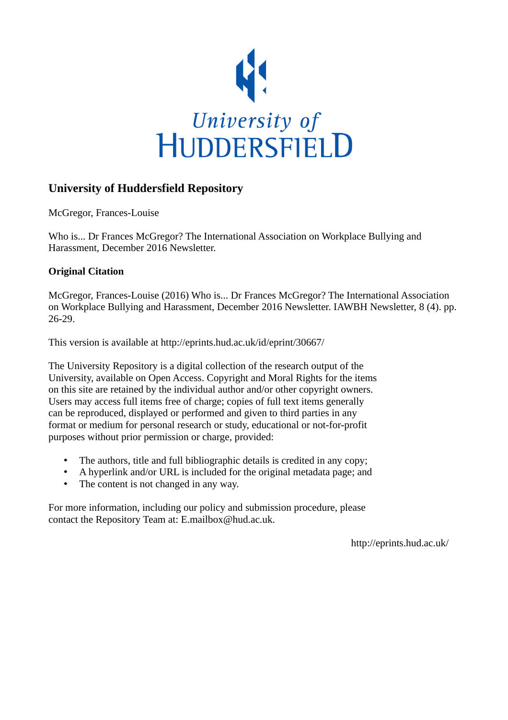

# **University of Huddersfield Repository**

McGregor, Frances-Louise

Who is... Dr Frances McGregor? The International Association on Workplace Bullying and Harassment, December 2016 Newsletter.

# **Original Citation**

McGregor, Frances-Louise (2016) Who is... Dr Frances McGregor? The International Association on Workplace Bullying and Harassment, December 2016 Newsletter. IAWBH Newsletter, 8 (4). pp. 26-29.

This version is available at http://eprints.hud.ac.uk/id/eprint/30667/

The University Repository is a digital collection of the research output of the University, available on Open Access. Copyright and Moral Rights for the items on this site are retained by the individual author and/or other copyright owners. Users may access full items free of charge; copies of full text items generally can be reproduced, displayed or performed and given to third parties in any format or medium for personal research or study, educational or not-for-profit purposes without prior permission or charge, provided:

- The authors, title and full bibliographic details is credited in any copy;
- A hyperlink and/or URL is included for the original metadata page; and
- The content is not changed in any way.

For more information, including our policy and submission procedure, please contact the Repository Team at: E.mailbox@hud.ac.uk.

http://eprints.hud.ac.uk/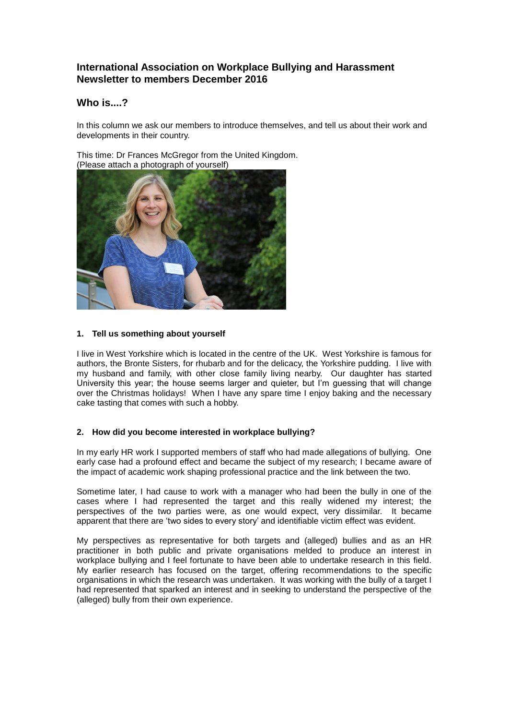## **International Association on Workplace Bullying and Harassment Newsletter to members December 2016**

### **Who is....?**

In this column we ask our members to introduce themselves, and tell us about their work and developments in their country.

This time: Dr Frances McGregor from the United Kingdom. (Please attach a photograph of yourself)



### **1. Tell us something about yourself**

I live in West Yorkshire which is located in the centre of the UK. West Yorkshire is famous for authors, the Bronte Sisters, for rhubarb and for the delicacy, the Yorkshire pudding. I live with my husband and family, with other close family living nearby. Our daughter has started University this year; the house seems larger and quieter, but I'm guessing that will change over the Christmas holidays! When I have any spare time I enjoy baking and the necessary cake tasting that comes with such a hobby.

### **2. How did you become interested in workplace bullying?**

In my early HR work I supported members of staff who had made allegations of bullying. One early case had a profound effect and became the subject of my research; I became aware of the impact of academic work shaping professional practice and the link between the two.

Sometime later, I had cause to work with a manager who had been the bully in one of the cases where I had represented the target and this really widened my interest; the perspectives of the two parties were, as one would expect, very dissimilar. It became apparent that there are 'two sides to every story' and identifiable victim effect was evident.

My perspectives as representative for both targets and (alleged) bullies and as an HR practitioner in both public and private organisations melded to produce an interest in workplace bullying and I feel fortunate to have been able to undertake research in this field. My earlier research has focused on the target, offering recommendations to the specific organisations in which the research was undertaken. It was working with the bully of a target I had represented that sparked an interest and in seeking to understand the perspective of the (alleged) bully from their own experience.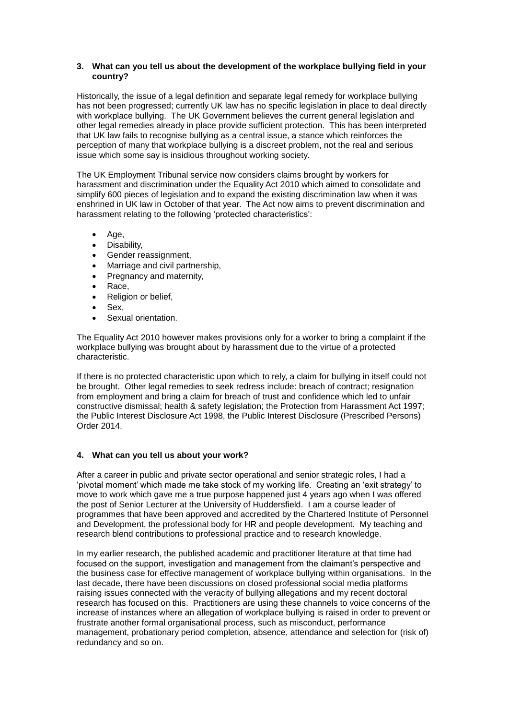#### **3. What can you tell us about the development of the workplace bullying field in your country?**

Historically, the issue of a legal definition and separate legal remedy for workplace bullying has not been progressed; currently UK law has no specific legislation in place to deal directly with workplace bullying. The UK Government believes the current general legislation and other legal remedies already in place provide sufficient protection. This has been interpreted that UK law fails to recognise bullying as a central issue, a stance which reinforces the perception of many that workplace bullying is a discreet problem, not the real and serious issue which some say is insidious throughout working society.

The UK Employment Tribunal service now considers claims brought by workers for harassment and discrimination under the Equality Act 2010 which aimed to consolidate and simplify 600 pieces of legislation and to expand the existing discrimination law when it was enshrined in UK law in October of that year. The Act now aims to prevent discrimination and harassment relating to the following 'protected characteristics':

- Age,
- Disability,
- Gender reassignment,
- Marriage and civil partnership,
- Pregnancy and maternity,
- Race,
- Religion or belief,
- Sex,
- Sexual orientation.

The Equality Act 2010 however makes provisions only for a worker to bring a complaint if the workplace bullying was brought about by harassment due to the virtue of a protected characteristic.

If there is no protected characteristic upon which to rely, a claim for bullying in itself could not be brought. Other legal remedies to seek redress include: breach of contract; resignation from employment and bring a claim for breach of trust and confidence which led to unfair constructive dismissal; health & safety legislation; the Protection from Harassment Act 1997; the Public Interest Disclosure Act 1998, the Public Interest Disclosure (Prescribed Persons) Order 2014.

### **4. What can you tell us about your work?**

After a career in public and private sector operational and senior strategic roles, I had a 'pivotal moment' which made me take stock of my working life. Creating an 'exit strategy' to move to work which gave me a true purpose happened just 4 years ago when I was offered the post of Senior Lecturer at the University of Huddersfield. I am a course leader of programmes that have been approved and accredited by the Chartered Institute of Personnel and Development, the professional body for HR and people development. My teaching and research blend contributions to professional practice and to research knowledge.

In my earlier research, the published academic and practitioner literature at that time had focused on the support, investigation and management from the claimant's perspective and the business case for effective management of workplace bullying within organisations. In the last decade, there have been discussions on closed professional social media platforms raising issues connected with the veracity of bullying allegations and my recent doctoral research has focused on this. Practitioners are using these channels to voice concerns of the increase of instances where an allegation of workplace bullying is raised in order to prevent or frustrate another formal organisational process, such as misconduct, performance management, probationary period completion, absence, attendance and selection for (risk of) redundancy and so on.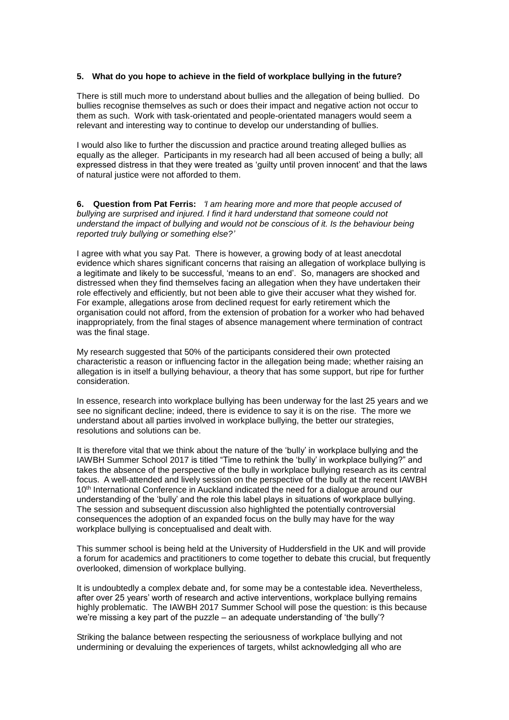#### **5. What do you hope to achieve in the field of workplace bullying in the future?**

There is still much more to understand about bullies and the allegation of being bullied. Do bullies recognise themselves as such or does their impact and negative action not occur to them as such. Work with task-orientated and people-orientated managers would seem a relevant and interesting way to continue to develop our understanding of bullies.

I would also like to further the discussion and practice around treating alleged bullies as equally as the alleger. Participants in my research had all been accused of being a bully; all expressed distress in that they were treated as 'guilty until proven innocent' and that the laws of natural justice were not afforded to them.

**6. Question from Pat Ferris:** *'I am hearing more and more that people accused of bullying are surprised and injured. I find it hard understand that someone could not understand the impact of bullying and would not be conscious of it. Is the behaviour being reported truly bullying or something else?'*

I agree with what you say Pat. There is however, a growing body of at least anecdotal evidence which shares significant concerns that raising an allegation of workplace bullying is a legitimate and likely to be successful, 'means to an end'. So, managers are shocked and distressed when they find themselves facing an allegation when they have undertaken their role effectively and efficiently, but not been able to give their accuser what they wished for. For example, allegations arose from declined request for early retirement which the organisation could not afford, from the extension of probation for a worker who had behaved inappropriately, from the final stages of absence management where termination of contract was the final stage.

My research suggested that 50% of the participants considered their own protected characteristic a reason or influencing factor in the allegation being made; whether raising an allegation is in itself a bullying behaviour, a theory that has some support, but ripe for further consideration.

In essence, research into workplace bullying has been underway for the last 25 years and we see no significant decline; indeed, there is evidence to say it is on the rise. The more we understand about all parties involved in workplace bullying, the better our strategies, resolutions and solutions can be.

It is therefore vital that we think about the nature of the 'bully' in workplace bullying and the IAWBH Summer School 2017 is titled "Time to rethink the 'bully' in workplace bullying?" and takes the absence of the perspective of the bully in workplace bullying research as its central focus. A well-attended and lively session on the perspective of the bully at the recent IAWBH 10<sup>th</sup> International Conference in Auckland indicated the need for a dialogue around our understanding of the 'bully' and the role this label plays in situations of workplace bullying. The session and subsequent discussion also highlighted the potentially controversial consequences the adoption of an expanded focus on the bully may have for the way workplace bullying is conceptualised and dealt with.

This summer school is being held at the University of Huddersfield in the UK and will provide a forum for academics and practitioners to come together to debate this crucial, but frequently overlooked, dimension of workplace bullying.

It is undoubtedly a complex debate and, for some may be a contestable idea. Nevertheless, after over 25 years' worth of research and active interventions, workplace bullying remains highly problematic. The IAWBH 2017 Summer School will pose the question: is this because we're missing a key part of the puzzle – an adequate understanding of 'the bully'?

Striking the balance between respecting the seriousness of workplace bullying and not undermining or devaluing the experiences of targets, whilst acknowledging all who are